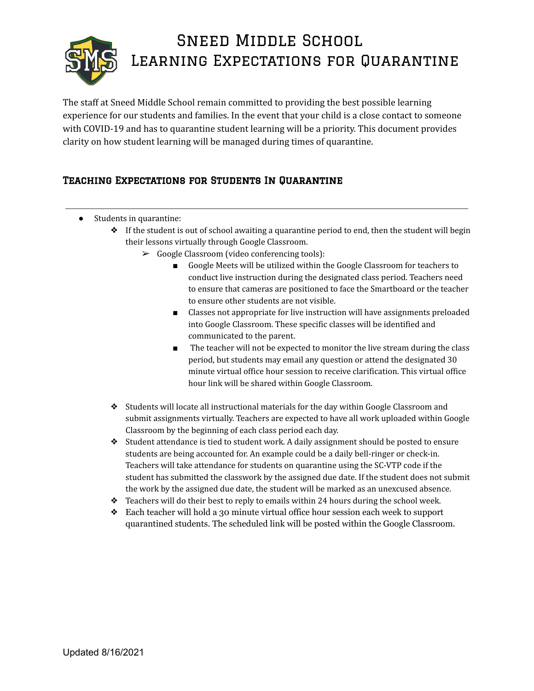

## Sneed Middle School Learning Expectations for Quarantine

The staff at Sneed Middle School remain committed to providing the best possible learning experience for our students and families. In the event that your child is a close contact to someone with COVID-19 and has to quarantine student learning will be a priority. This document provides clarity on how student learning will be managed during times of quarantine.

## Teaching Expectations for Students In Quarantine

- Students in quarantine:
	- ❖ If the student is out of school awaiting a quarantine period to end, then the student will begin their lessons virtually through Google Classroom.
		- ➢ Google Classroom (video conferencing tools):
			- Google Meets will be utilized within the Google Classroom for teachers to conduct live instruction during the designated class period. Teachers need to ensure that cameras are positioned to face the Smartboard or the teacher to ensure other students are not visible.
			- Classes not appropriate for live instruction will have assignments preloaded into Google Classroom. These specific classes will be identified and communicated to the parent.
			- The teacher will not be expected to monitor the live stream during the class period, but students may email any question or attend the designated 30 minute virtual office hour session to receive clarification. This virtual office hour link will be shared within Google Classroom.
	- ❖ Students will locate all instructional materials for the day within Google Classroom and submit assignments virtually. Teachers are expected to have all work uploaded within Google Classroom by the beginning of each class period each day.
	- ❖ Student attendance is tied to student work. A daily assignment should be posted to ensure students are being accounted for. An example could be a daily bell-ringer or check-in. Teachers will take attendance for students on quarantine using the SC-VTP code if the student has submitted the classwork by the assigned due date. If the student does not submit the work by the assigned due date, the student will be marked as an unexcused absence.
	- ❖ Teachers will do their best to reply to emails within 24 hours during the school week.
	- ❖ Each teacher will hold a 30 minute virtual office hour session each week to support quarantined students. The scheduled link will be posted within the Google Classroom.